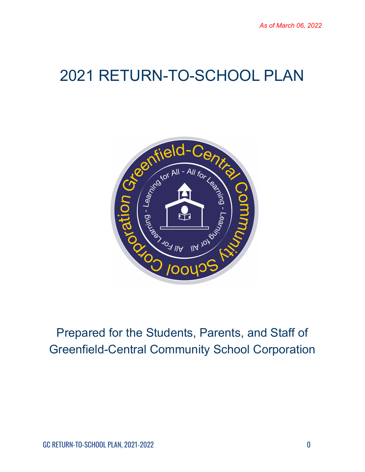# 2021 RETURN-TO-SCHOOL PLAN



## Prepared for the Students, Parents, and Staff of Greenfield-Central Community School Corporation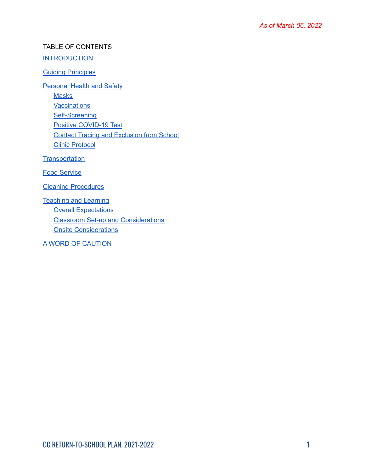#### TABLE OF CONTENTS

#### **[INTRODUCTION](#page-2-0)**

#### Guiding [Principles](#page-2-1)

**[Personal](#page-2-2) Health and Safety** 

**[Masks](#page-2-3)** 

**[Vaccinations](#page-3-0)** 

[Self-Screening](#page-3-1)

Positive [COVID-19](#page-4-0) Test

Contact Tracing and [Exclusion](#page-5-0) from School

Clinic [Protocol](#page-5-1)

**[Transportation](#page-6-0)** 

Food [Service](#page-6-1)

Cleaning [Procedures](#page-7-0)

[Teaching](#page-7-1) and Learning Overall [Expectations](#page-7-2) Classroom Set-up and [Considerations](#page-7-3) Onsite [Considerations](#page-8-0)

A WORD OF [CAUTION](#page-8-1)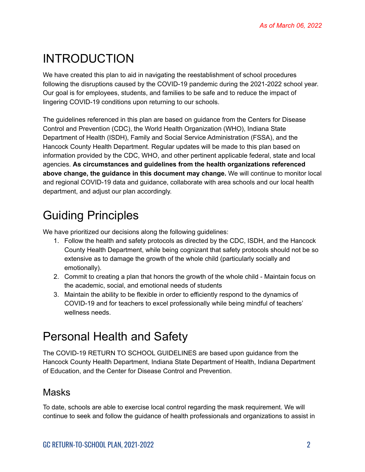## <span id="page-2-0"></span>INTRODUCTION

We have created this plan to aid in navigating the reestablishment of school procedures following the disruptions caused by the COVID-19 pandemic during the 2021-2022 school year. Our goal is for employees, students, and families to be safe and to reduce the impact of lingering COVID-19 conditions upon returning to our schools.

The guidelines referenced in this plan are based on guidance from the Centers for Disease Control and Prevention (CDC), the World Health Organization (WHO), Indiana State Department of Health (ISDH), Family and Social Service Administration (FSSA), and the Hancock County Health Department. Regular updates will be made to this plan based on information provided by the CDC, WHO, and other pertinent applicable federal, state and local agencies. **As circumstances and guidelines from the health organizations referenced above change, the guidance in this document may change.** We will continue to monitor local and regional COVID-19 data and guidance, collaborate with area schools and our local health department, and adjust our plan accordingly.

## <span id="page-2-1"></span>Guiding Principles

We have prioritized our decisions along the following guidelines:

- 1. Follow the health and safety protocols as directed by the CDC, ISDH, and the Hancock County Health Department, while being cognizant that safety protocols should not be so extensive as to damage the growth of the whole child (particularly socially and emotionally).
- 2. Commit to creating a plan that honors the growth of the whole child Maintain focus on the academic, social, and emotional needs of students
- 3. Maintain the ability to be flexible in order to efficiently respond to the dynamics of COVID-19 and for teachers to excel professionally while being mindful of teachers' wellness needs.

## <span id="page-2-2"></span>Personal Health and Safety

The COVID-19 RETURN TO SCHOOL GUIDELINES are based upon guidance from the Hancock County Health Department, Indiana State Department of Health, Indiana Department of Education, and the Center for Disease Control and Prevention.

### <span id="page-2-3"></span>**Masks**

To date, schools are able to exercise local control regarding the mask requirement. We will continue to seek and follow the guidance of health professionals and organizations to assist in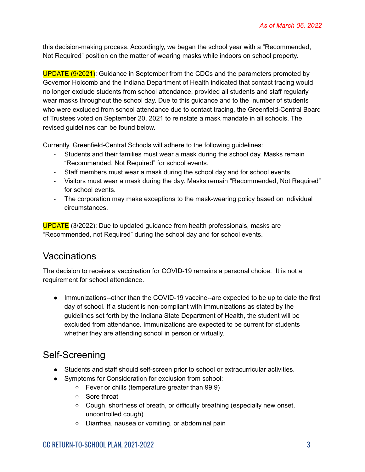this decision-making process. Accordingly, we began the school year with a "Recommended, Not Required" position on the matter of wearing masks while indoors on school property.

UPDATE (9/2021): Guidance in September from the CDCs and the parameters promoted by Governor Holcomb and the Indiana Department of Health indicated that contact tracing would no longer exclude students from school attendance, provided all students and staff regularly wear masks throughout the school day. Due to this guidance and to the number of students who were excluded from school attendance due to contact tracing, the Greenfield-Central Board of Trustees voted on September 20, 2021 to reinstate a mask mandate in all schools. The revised guidelines can be found below.

Currently, Greenfield-Central Schools will adhere to the following guidelines:

- Students and their families must wear a mask during the school day. Masks remain "Recommended, Not Required" for school events.
- Staff members must wear a mask during the school day and for school events.
- Visitors must wear a mask during the day. Masks remain "Recommended, Not Required" for school events.
- The corporation may make exceptions to the mask-wearing policy based on individual circumstances.

UPDATE (3/2022): Due to updated guidance from health professionals, masks are "Recommended, not Required" during the school day and for school events.

### <span id="page-3-0"></span>**Vaccinations**

The decision to receive a vaccination for COVID-19 remains a personal choice. It is not a requirement for school attendance.

• Immunizations--other than the COVID-19 vaccine--are expected to be up to date the first day of school. If a student is non-compliant with immunizations as stated by the guidelines set forth by the Indiana State Department of Health, the student will be excluded from attendance. Immunizations are expected to be current for students whether they are attending school in person or virtually.

### <span id="page-3-1"></span>Self-Screening

- Students and staff should self-screen prior to school or extracurricular activities.
- Symptoms for Consideration for exclusion from school:
	- Fever or chills (temperature greater than 99.9)
	- Sore throat
	- Cough, shortness of breath, or difficulty breathing (especially new onset, uncontrolled cough)
	- Diarrhea, nausea or vomiting, or abdominal pain

#### GC RETURN-TO-SCHOOL PLAN, 2021-2022 3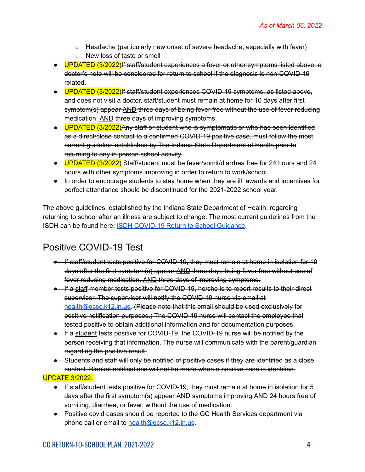- Headache (particularly new onset of severe headache, especially with fever)
- New loss of taste or smell
- UPDATED (3/2022) If staff/student experiences a fever or other symptoms listed above, a doctor's note will be considered for return to school if the diagnosis is non-COVID-19 related.
- UPDATED (3/2022)If staff/student experiences COVID-19 symptoms, as listed above, and does not visit a doctor, staff/student must remain at home for 10 days after first symptom(s) appear AND three days of being fever free without the use of fever reducing medication, AND three days of improving symptoms.
- UPDATED (3/2022)Any staff or student who is symptomatic or who has been identified as a direct/close contact to a confirmed COVID-19 positive case, must follow the most current guideline established by The Indiana State Department of Health prior to returning to any in person school activity.
- UPDATED (3/2022) Staff/student must be fever/vomit/diarrhea free for 24 hours and 24 hours with other symptoms improving in order to return to work/school.
- In order to encourage students to stay home when they are ill, awards and incentives for perfect attendance should be discontinued for the 2021-2022 school year.

The above guidelines, established by the Indiana State Department of Health, regarding returning to school after an illness are subject to change. The most current guidelines from the ISDH can be found here: ISDH [COVID-19](https://www.coronavirus.in.gov/files/20_Student%20Guidance%20for%20Return%20to%20School.pdf?utm_content=&utm_medium=email&utm_name=&utm_source=govdelivery&utm_term=) Return to School Guidance.

### <span id="page-4-0"></span>Positive COVID-19 Test

- If staff/student tests positive for COVID-19, they must remain at home in isolation for 10 days after the first symptom(s) appear AND three days being fever free without use of fever reducing medication, AND three days of improving symptoms.
- If a staff member tests positive for COVID-19, he/she is to report results to their direct supervisor. The supervisor will notify the COVID-19 nurse via email at [health@gcsc.k12.in.us.](mailto:health@gcsc.k12.in.us) (Please note that this email should be used exclusively for positive notification purposes.) The COVID-19 nurse will contact the employee that tested positive to obtain additional information and for documentation purposes.
- If a student tests positive for COVID-19, the COVID-19 nurse will be notified by the person receiving that information. The nurse will communicate with the parent/guardian regarding the positive result.
- Students and staff will only be notified of positive cases if they are identified as a close contact. Blanket notifications will not be made when a positive case is identified.

UPDATE 3/2022:

- If staff/student tests positive for COVID-19, they must remain at home in isolation for 5 days after the first symptom(s) appear AND symptoms improving AND 24 hours free of vomiting, diarrhea, or fever, without the use of medication.
- Positive covid cases should be reported to the GC Health Services department via phone call or email to [health@gcsc.k12.in.us](mailto:health@gcsc.k12.in.us).

#### GC RETURN-TO-SCHOOL PLAN, 2021-2022 4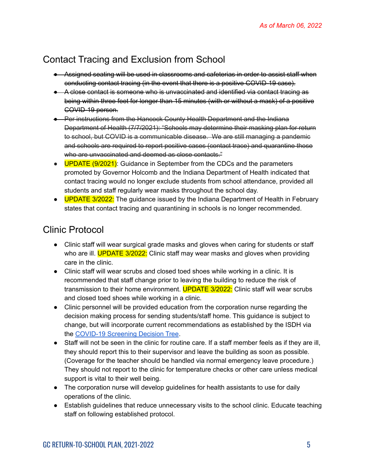### <span id="page-5-0"></span>Contact Tracing and Exclusion from School

- Assigned seating will be used in classrooms and cafeterias in order to assist staff when conducting contact tracing (in the event that there is a positive COVID-19 case).
- A close contact is someone who is unvaccinated and identified via contact tracing as being within three feet for longer than 15 minutes (with or without a mask) of a positive COVID-19 person.
- Per instructions from the Hancock County Health Department and the Indiana Department of Health (7/7/2021): "Schools may determine their masking plan for return to school, but COVID is a communicable disease. We are still managing a pandemic and schools are required to report positive cases (contact trace) and quarantine those who are unvaccinated and deemed as close contacts."
- UPDATE (9/2021): Guidance in September from the CDCs and the parameters promoted by Governor Holcomb and the Indiana Department of Health indicated that contact tracing would no longer exclude students from school attendance, provided all students and staff regularly wear masks throughout the school day.
- UPDATE 3/2022: The guidance issued by the Indiana Department of Health in February states that contact tracing and quarantining in schools is no longer recommended.

### <span id="page-5-1"></span>Clinic Protocol

- Clinic staff will wear surgical grade masks and gloves when caring for students or staff who are ill. **UPDATE 3/2022:** Clinic staff may wear masks and gloves when providing care in the clinic.
- Clinic staff will wear scrubs and closed toed shoes while working in a clinic. It is recommended that staff change prior to leaving the building to reduce the risk of transmission to their home environment. UPDATE 3/2022: Clinic staff will wear scrubs and closed toed shoes while working in a clinic.
- Clinic personnel will be provided education from the corporation nurse regarding the decision making process for sending students/staff home. This guidance is subject to change, but will incorporate current recommendations as established by the ISDH via the [COVID-19](https://www.coronavirus.in.gov/files/20_School%20Screening%20symptoms_10-22-20.pdf) Screening Decision Tree.
- Staff will not be seen in the clinic for routine care. If a staff member feels as if they are ill, they should report this to their supervisor and leave the building as soon as possible. (Coverage for the teacher should be handled via normal emergency leave procedure.) They should not report to the clinic for temperature checks or other care unless medical support is vital to their well being.
- The corporation nurse will develop quidelines for health assistants to use for daily operations of the clinic.
- Establish guidelines that reduce unnecessary visits to the school clinic. Educate teaching staff on following established protocol.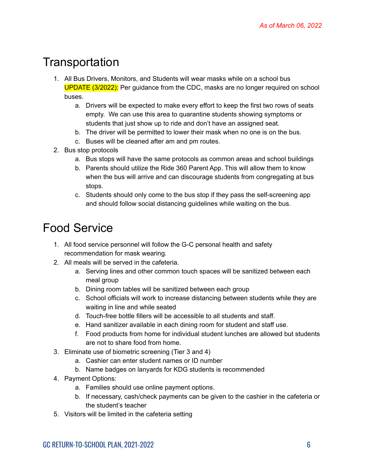## <span id="page-6-0"></span>Transportation

- 1. All Bus Drivers, Monitors, and Students will wear masks while on a school bus UPDATE (3/2022): Per guidance from the CDC, masks are no longer required on school buses.
	- a. Drivers will be expected to make every effort to keep the first two rows of seats empty. We can use this area to quarantine students showing symptoms or students that just show up to ride and don't have an assigned seat.
	- b. The driver will be permitted to lower their mask when no one is on the bus.
	- c. Buses will be cleaned after am and pm routes.
- 2. Bus stop protocols
	- a. Bus stops will have the same protocols as common areas and school buildings
	- b. Parents should utilize the Ride 360 Parent App. This will allow them to know when the bus will arrive and can discourage students from congregating at bus stops.
	- c. Students should only come to the bus stop if they pass the self-screening app and should follow social distancing guidelines while waiting on the bus.

## <span id="page-6-1"></span>Food Service

- 1. All food service personnel will follow the G-C personal health and safety recommendation for mask wearing.
- 2. All meals will be served in the cafeteria.
	- a. Serving lines and other common touch spaces will be sanitized between each meal group
	- b. Dining room tables will be sanitized between each group
	- c. School officials will work to increase distancing between students while they are waiting in line and while seated
	- d. Touch-free bottle fillers will be accessible to all students and staff.
	- e. Hand sanitizer available in each dining room for student and staff use.
	- f. Food products from home for individual student lunches are allowed but students are not to share food from home.
- 3. Eliminate use of biometric screening (Tier 3 and 4)
	- a. Cashier can enter student names or ID number
	- b. Name badges on lanyards for KDG students is recommended
- 4. Payment Options:
	- a. Families should use online payment options.
	- b. If necessary, cash/check payments can be given to the cashier in the cafeteria or the student's teacher
- 5. Visitors will be limited in the cafeteria setting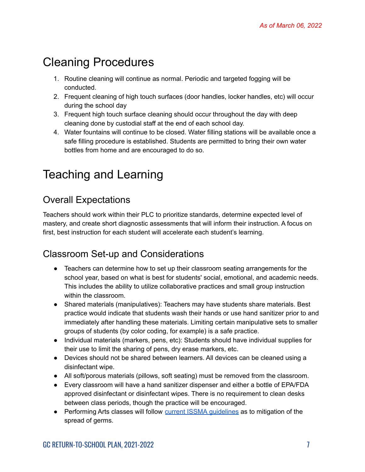## <span id="page-7-0"></span>Cleaning Procedures

- 1. Routine cleaning will continue as normal. Periodic and targeted fogging will be conducted.
- 2. Frequent cleaning of high touch surfaces (door handles, locker handles, etc) will occur during the school day
- 3. Frequent high touch surface cleaning should occur throughout the day with deep cleaning done by custodial staff at the end of each school day.
- 4. Water fountains will continue to be closed. Water filling stations will be available once a safe filling procedure is established. Students are permitted to bring their own water bottles from home and are encouraged to do so.

## <span id="page-7-1"></span>Teaching and Learning

### <span id="page-7-2"></span>Overall Expectations

Teachers should work within their PLC to prioritize standards, determine expected level of mastery, and create short diagnostic assessments that will inform their instruction. A focus on first, best instruction for each student will accelerate each student's learning.

### <span id="page-7-3"></span>Classroom Set-up and Considerations

- Teachers can determine how to set up their classroom seating arrangements for the school year, based on what is best for students' social, emotional, and academic needs. This includes the ability to utilize collaborative practices and small group instruction within the classroom.
- Shared materials (manipulatives): Teachers may have students share materials. Best practice would indicate that students wash their hands or use hand sanitizer prior to and immediately after handling these materials. Limiting certain manipulative sets to smaller groups of students (by color coding, for example) is a safe practice.
- Individual materials (markers, pens, etc): Students should have individual supplies for their use to limit the sharing of pens, dry erase markers, etc.
- Devices should not be shared between learners. All devices can be cleaned using a disinfectant wipe.
- All soft/porous materials (pillows, soft seating) must be removed from the classroom.
- Every classroom will have a hand sanitizer dispenser and either a bottle of EPA/FDA approved disinfectant or disinfectant wipes. There is no requirement to clean desks between class periods, though the practice will be encouraged.
- Performing Arts classes will follow current ISSMA [guidelines](https://www.issma.net/index.php) as to mitigation of the spread of germs.